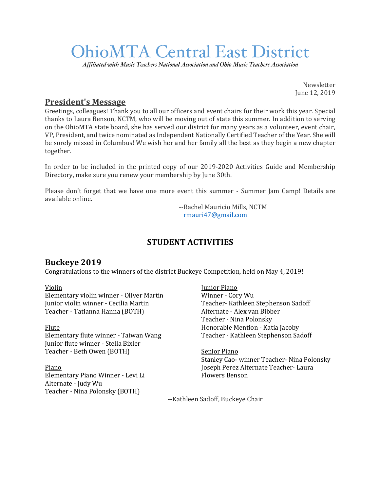# OhioMTA Central East District

*Affiliated with Music Teachers National Association and Ohio Music Teachers Association*

Newsletter June 12, 2019

# **President's Message**

Greetings, colleagues! Thank you to all our officers and event chairs for their work this year. Special thanks to Laura Benson, NCTM, who will be moving out of state this summer. In addition to serving on the OhioMTA state board, she has served our district for many years as a volunteer, event chair, VP, President, and twice nominated as Independent Nationally Certified Teacher of the Year. She will be sorely missed in Columbus! We wish her and her family all the best as they begin a new chapter together.

In order to be included in the printed copy of our 2019-2020 Activities Guide and Membership Directory, make sure you renew your membership by June 30th.

Please don't forget that we have one more event this summer - Summer Jam Camp! Details are available online.

> --Rachel Mauricio Mills, NCTM rmauri47@gmail.com

# **STUDENT ACTIVITIES**

# **Buckeye 2019**

Congratulations to the winners of the district Buckeye Competition, held on May 4, 2019!

#### Violin

Elementary violin winner - Oliver Martin Junior violin winner - Cecilia Martin Teacher - Tatianna Hanna (BOTH)

#### Flute

Elementary flute winner - Taiwan Wang Junior flute winner - Stella Bixler Teacher - Beth Owen (BOTH)

Piano Elementary Piano Winner - Levi Li Alternate - Judy Wu Teacher - Nina Polonsky (BOTH)

Junior Piano Winner - Cory Wu Teacher- Kathleen Stephenson Sadoff Alternate - Alex van Bibber Teacher - Nina Polonsky Honorable Mention - Katia Jacoby Teacher - Kathleen Stephenson Sadoff

**Senior Piano** Stanley Cao- winner Teacher- Nina Polonsky Joseph Perez Alternate Teacher- Laura Flowers Benson

--Kathleen Sadoff, Buckeye Chair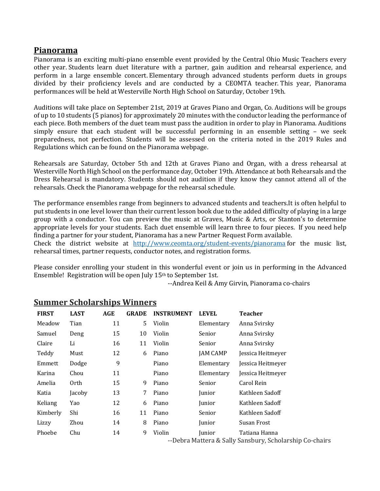### **Pianorama**

Pianorama is an exciting multi-piano ensemble event provided by the Central Ohio Music Teachers every other year. Students learn duet literature with a partner, gain audition and rehearsal experience, and perform in a large ensemble concert. Elementary through advanced students perform duets in groups divided by their proficiency levels and are conducted by a CEOMTA teacher. This year, Pianorama performances will be held at Westerville North High School on Saturday, October 19th.

Auditions will take place on September 21st, 2019 at Graves Piano and Organ, Co. Auditions will be groups of up to 10 students (5 pianos) for approximately 20 minutes with the conductor leading the performance of each piece. Both members of the duet team must pass the audition in order to play in Pianorama. Auditions simply ensure that each student will be successful performing in an ensemble setting - we seek preparedness, not perfection. Students will be assessed on the criteria noted in the 2019 Rules and Regulations which can be found on the Pianorama webpage.

Rehearsals are Saturday, October 5th and 12th at Graves Piano and Organ, with a dress rehearsal at Westerville North High School on the performance day, October 19th. Attendance at both Rehearsals and the Dress Rehearsal is mandatory. Students should not audition if they know they cannot attend all of the rehearsals. Check the Pianorama webpage for the rehearsal schedule.

The performance ensembles range from beginners to advanced students and teachers.It is often helpful to put students in one level lower than their current lesson book due to the added difficulty of playing in a large group with a conductor. You can preview the music at Graves, Music & Arts, or Stanton's to determine appropriate levels for your students. Each duet ensemble will learn three to four pieces. If you need help finding a partner for your student, Pianorama has a new Partner Request Form available. Check the district website at http://www.ceomta.org/student-events/pianorama for the music list,

rehearsal times, partner requests, conductor notes, and registration forms.

Please consider enrolling your student in this wonderful event or join us in performing in the Advanced Ensemble! Registration will be open July  $15<sup>th</sup>$  to September 1st.

--Andrea Keil & Amy Girvin, Pianorama co-chairs

| <b>FIRST</b> | <b>LAST</b> | <b>AGE</b> | <b>GRADE</b> | <b>INSTRUMENT</b> | <b>LEVEL</b>    | <b>Teacher</b>                           |
|--------------|-------------|------------|--------------|-------------------|-----------------|------------------------------------------|
| Meadow       | Tian        | 11         | 5.           | Violin            | Elementary      | Anna Svirsky                             |
| Samuel       | Deng        | 15         | 10           | Violin            | Senior          | Anna Svirsky                             |
| Claire       | Li          | 16         | 11           | Violin            | Senior          | Anna Svirsky                             |
| Teddy        | Must        | 12         | 6            | Piano             | <b>JAM CAMP</b> | Jessica Heitmeyer                        |
| Emmett       | Dodge       | 9          |              | Piano             | Elementary      | Jessica Heitmeyer                        |
| Karina       | Chou        | 11         |              | Piano             | Elementary      | Jessica Heitmeyer                        |
| Amelia       | 0rth        | 15         | 9            | Piano             | Senior          | Carol Rein                               |
| Katia        | Jacoby      | 13         | 7            | Piano             | Junior          | Kathleen Sadoff                          |
| Keliang      | Yao         | 12         | 6            | Piano             | Junior          | Kathleen Sadoff                          |
| Kimberly     | Shi         | 16         | 11           | Piano             | Senior          | Kathleen Sadoff                          |
| Lizzy        | Zhou        | 14         | 8            | Piano             | Junior          | Susan Frost                              |
| Phoebe       | Chu         | 14         | 9            | Violin            | Junior          | Tatiana Hanna<br>ו מיונות וניתוחת הוא ות |

#### **Summer Scholarships Winners**

--Debra Mattera & Sally Sansbury, Scholarship Co-chairs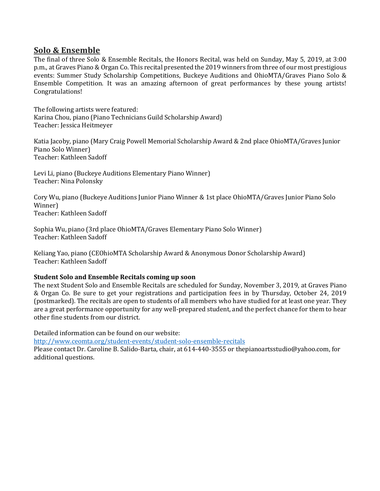#### **Solo & Ensemble**

The final of three Solo & Ensemble Recitals, the Honors Recital, was held on Sunday, May 5, 2019, at 3:00 p.m., at Graves Piano & Organ Co. This recital presented the 2019 winners from three of our most prestigious events: Summer Study Scholarship Competitions, Buckeye Auditions and OhioMTA/Graves Piano Solo & Ensemble Competition. It was an amazing afternoon of great performances by these young artists! Congratulations!

The following artists were featured: Karina Chou, piano (Piano Technicians Guild Scholarship Award) Teacher: Jessica Heitmeyer

Katia Jacoby, piano (Mary Craig Powell Memorial Scholarship Award & 2nd place OhioMTA/Graves Junior Piano Solo Winner) Teacher: Kathleen Sadoff

Levi Li, piano (Buckeye Auditions Elementary Piano Winner) Teacher: Nina Polonsky

Cory Wu, piano (Buckeye Auditions Junior Piano Winner & 1st place OhioMTA/Graves Junior Piano Solo Winner) Teacher: Kathleen Sadoff

Sophia Wu, piano (3rd place OhioMTA/Graves Elementary Piano Solo Winner) Teacher: Kathleen Sadoff

Keliang Yao, piano (CEOhioMTA Scholarship Award & Anonymous Donor Scholarship Award) Teacher: Kathleen Sadoff

#### **Student Solo and Ensemble Recitals coming up soon**

The next Student Solo and Ensemble Recitals are scheduled for Sunday, November 3, 2019, at Graves Piano & Organ Co. Be sure to get your registrations and participation fees in by Thursday, October 24, 2019 (postmarked). The recitals are open to students of all members who have studied for at least one year. They are a great performance opportunity for any well-prepared student, and the perfect chance for them to hear other fine students from our district.

Detailed information can be found on our website:

http://www.ceomta.org/student-events/student-solo-ensemble-recitals

Please contact Dr. Caroline B. Salido-Barta, chair, at 614-440-3555 or thepianoartsstudio@yahoo.com, for additional questions.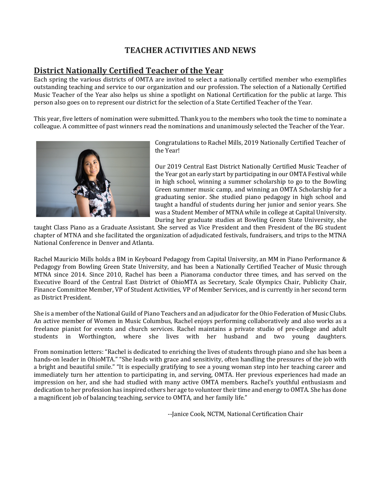# **TEACHER ACTIVITIES AND NEWS**

# **District Nationally Certified Teacher of the Year**

Each spring the various districts of OMTA are invited to select a nationally certified member who exemplifies outstanding teaching and service to our organization and our profession. The selection of a Nationally Certified Music Teacher of the Year also helps us shine a spotlight on National Certification for the public at large. This person also goes on to represent our district for the selection of a State Certified Teacher of the Year.

This year, five letters of nomination were submitted. Thank you to the members who took the time to nominate a colleague. A committee of past winners read the nominations and unanimously selected the Teacher of the Year.



Congratulations to Rachel Mills, 2019 Nationally Certified Teacher of the Year!

Our 2019 Central East District Nationally Certified Music Teacher of the Year got an early start by participating in our OMTA Festival while in high school, winning a summer scholarship to go to the Bowling Green summer music camp, and winning an OMTA Scholarship for a graduating senior. She studied piano pedagogy in high school and taught a handful of students during her junior and senior years. She was a Student Member of MTNA while in college at Capital University. During her graduate studies at Bowling Green State University, she

taught Class Piano as a Graduate Assistant. She served as Vice President and then President of the BG student chapter of MTNA and she facilitated the organization of adjudicated festivals, fundraisers, and trips to the MTNA National Conference in Denver and Atlanta.

Rachel Mauricio Mills holds a BM in Keyboard Pedagogy from Capital University, an MM in Piano Performance & Pedagogy from Bowling Green State University, and has been a Nationally Certified Teacher of Music through MTNA since 2014. Since 2010, Rachel has been a Pianorama conductor three times, and has served on the Executive Board of the Central East District of OhioMTA as Secretary, Scale Olympics Chair, Publicity Chair, Finance Committee Member, VP of Student Activities, VP of Member Services, and is currently in her second term as District President.

She is a member of the National Guild of Piano Teachers and an adjudicator for the Ohio Federation of Music Clubs. An active member of Women in Music Columbus, Rachel enjoys performing collaboratively and also works as a freelance pianist for events and church services. Rachel maintains a private studio of pre-college and adult students in Worthington, where she lives with her husband and two young daughters.

From nomination letters: "Rachel is dedicated to enriching the lives of students through piano and she has been a hands-on leader in OhioMTA." "She leads with grace and sensitivity, often handling the pressures of the job with a bright and beautiful smile." "It is especially gratifying to see a young woman step into her teaching career and immediately turn her attention to participating in, and serving, OMTA. Her previous experiences had made an impression on her, and she had studied with many active OMTA members. Rachel's youthful enthusiasm and dedication to her profession has inspired others her age to volunteer their time and energy to OMTA. She has done a magnificent job of balancing teaching, service to OMTA, and her family life."

--Janice Cook, NCTM, National Certification Chair